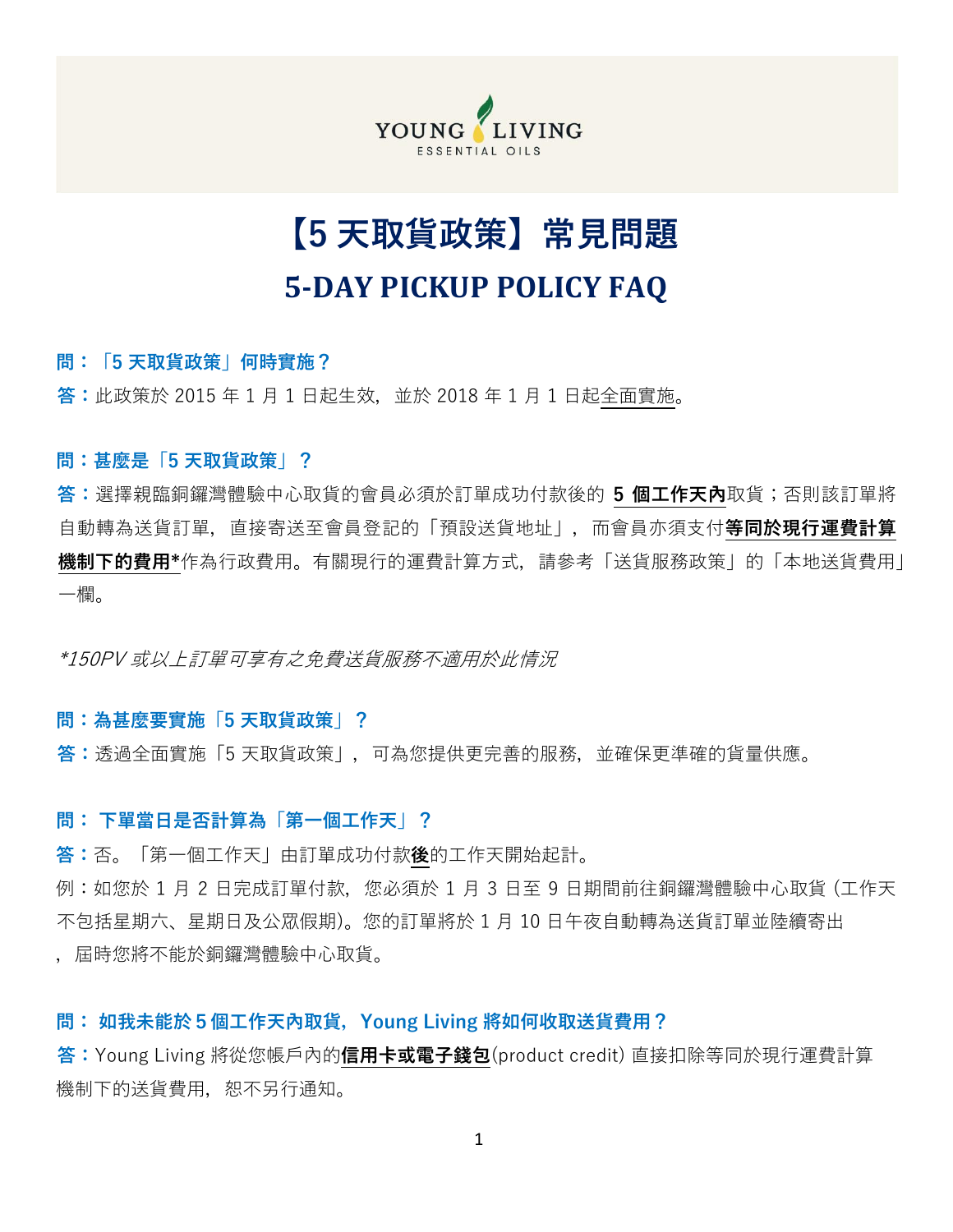

# **【5 天取貨政策】常見問題 5-DAY PICKUP POLICY FAQ**

#### **問:「5 天取貨政策」何時實施?**

**答:**此政策於 2015 年 1 月 1 日起生效,並於 2018 年 1 月 1 日起全面實施。

#### **問:甚麼是「5 天取貨政策」?**

**答:**選擇親臨銅鑼灣體驗中心取貨的會員必須於訂單成功付款後的 **5 個工作天內**取貨;否則該訂單將 自動轉為送貨訂單,直接寄送至會員登記的「預設送貨地址」,而會員亦須支付**等同於現行運費計算 機制下的費用\***作為行政費用。有關現行的運費計算方式,請參考「送貨服務政策」的「本地送貨費用」 一欄。

\*150PV 或以上訂單可享有之免費送貨服務不適用於此情況

# **問:為甚麼要實施「5 天取貨政策」?**

**答:**透過全面實施「5 天取貨政策」,可為您提供更完善的服務,並確保更準確的貨量供應。

#### **問: 下單當日是否計算為「第一個工作天」?**

**答:**否。「第一個工作天」由訂單成功付款**後**的工作天開始起計。

例:如您於 1 月 2 日完成訂單付款,您必須於 1 月 3 日至 9 日期間前往銅鑼灣體驗中心取貨 (工作天 不包括星期六、星期日及公眾假期)。您的訂單將於 1 月 10 日午夜自動轉為送貨訂單並陸續寄出 ,屆時您將不能於銅鑼灣體驗中心取貨。

#### **問: 如我未能於5個工作天內取貨,Young Living 將如何收取送貨費用?**

**答:**Young Living 將從您帳戶內的**信用卡或電子錢包**(product credit) 直接扣除等同於現行運費計算 機制下的送貨費用,恕不另行通知。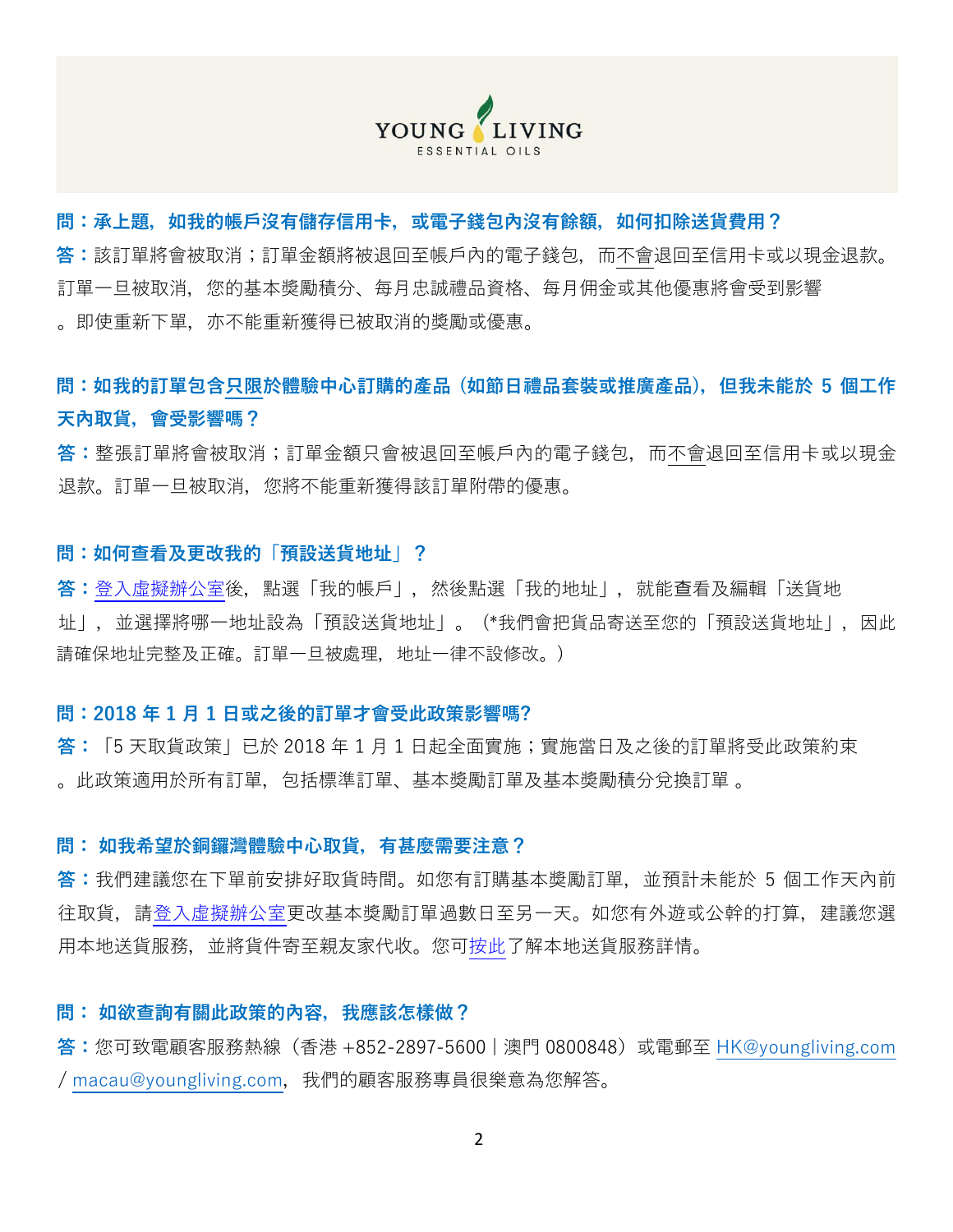

#### **問:承上題,如我的帳戶沒有儲存信用卡,或電子錢包內沒有餘額,如何扣除送貨費用?**

**答:**該訂單將會被取消;訂單金額將被退回至帳戶內的電子錢包,而不會退回至信用卡或以現金退款。 訂單一旦被取消,您的基本獎勵積分、每月忠誠禮品資格、每月佣金或其他優惠將會受到影響 。即使重新下單,亦不能重新獲得已被取消的獎勵或優惠。

# **問:如我的訂單包含只限於體驗中心訂購的產品 (如節日禮品套裝或推廣產品),但我未能於 5 個工作 天內取貨,會受影響嗎?**

**答:**整張訂單將會被取消;訂單金額只會被退回至帳戶內的電子錢包,而不會退回至信用卡或以現金 退款。訂單一旦被取消,您將不能重新獲得該訂單附帶的優惠。

#### **問:如何查看及更改我的「預設送貨地址」?**

**答:**[登入虛擬辦公室後,點](https://www.youngliving.com/vo/#/login)選「我的帳戶」,然後點選「我的地址」,就能查看及編輯「送貨地 址|,並選擇將哪一地址設為「預設送貨地址|。(\*我們會把貨品寄送至您的「預設送貨地址|,因此 請確保地址完整及正確。訂單一旦被處理,地址一律不設修改。)

#### **問:2018 年 1 月 1 日或之後的訂單才會受此政策影響嗎?**

**答:**「5 天取貨政策」已於 2018 年 1 月 1 日起全面實施;實施當日及之後的訂單將受此政策約束 。此政策適用於所有訂單,包括標準訂單、基本獎勵訂單及基本獎勵積分兌換訂單 。

#### **問: 如我希望於銅鑼灣體驗中心取貨,有甚麼需要注意?**

**答:**我們建議您在下單前安排好取貨時間。如您有訂購基本獎勵訂單,並預計未能於 5 個工作天內前 往取貨,[請登入虛擬辦公室更改基](https://www.youngliving.com/vo/#/login)本獎勵訂單過數日至另一天。如您有外遊或公幹的打算,建議您選 用本地送貨服務,並將貨件寄至親友家代收[。您可按此了解本](https://www.youngliving.com/zh_HK/company/local-delivery-policy)地送貨服務詳情。

#### **問: 如欲查詢有關此政策的內容,我應該怎樣做?**

**答:**您可致電顧客服務熱線(香港 +852-2897-5600 | 澳門 0800848)或電郵至 [HK@youngliving.com](mailto:HK@youngliving.com) / [macau@youngliving.com](mailto:macau@youngliving.com),我們的顧客服務專員很樂意為您解答。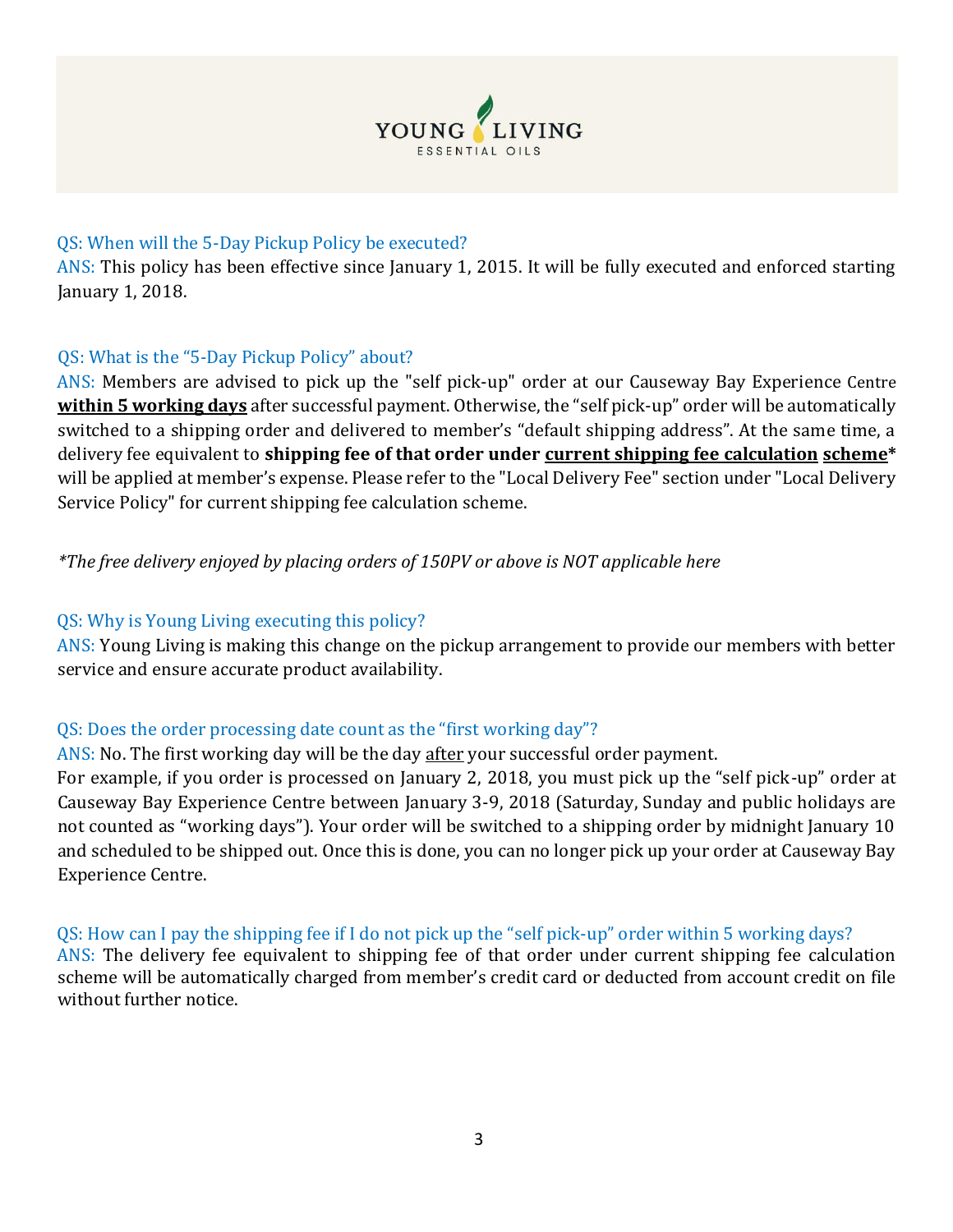

#### QS: When will the 5-Day Pickup Policy be executed?

ANS: This policy has been effective since January 1, 2015. It will be fully executed and enforced starting January 1, 2018.

# QS: What is the "5-Day Pickup Policy" about?

ANS: Members are advised to pick up the "self pick-up" order at our Causeway Bay Experience Centre **within 5 working days** after successful payment. Otherwise, the "self pick-up" order will be automatically switched to a shipping order and delivered to member's "default shipping address". At the same time, a delivery fee equivalent to **shipping fee of that order under current shipping fee calculation scheme\*** will be applied at member's expense. Please refer to the "Local Delivery Fee" section under "Local Delivery Service Policy" for current shipping fee calculation scheme.

*\*The free delivery enjoyed by placing orders of 150PV or above is NOT applicable here* 

# QS: Why is Young Living executing this policy?

ANS: Young Living is making this change on the pickup arrangement to provide our members with better service and ensure accurate product availability.

# QS: Does the order processing date count as the "first working day"?

ANS: No. The first working day will be the day after your successful order payment.

For example, if you order is processed on January 2, 2018, you must pick up the "self pick-up" order at Causeway Bay Experience Centre between January 3-9, 2018 (Saturday, Sunday and public holidays are not counted as "working days"). Your order will be switched to a shipping order by midnight January 10 and scheduled to be shipped out. Once this is done, you can no longer pick up your order at Causeway Bay Experience Centre.

QS: How can I pay the shipping fee if I do not pick up the "self pick-up" order within 5 working days? ANS: The delivery fee equivalent to shipping fee of that order under current shipping fee calculation scheme will be automatically charged from member's credit card or deducted from account credit on file without further notice.